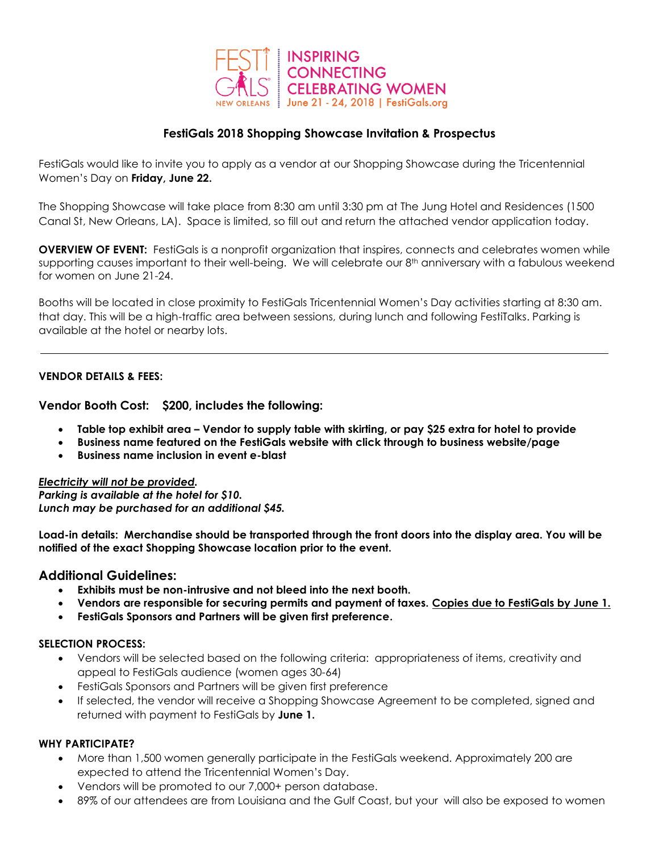

# **FestiGals 2018 Shopping Showcase Invitation & Prospectus**

FestiGals would like to invite you to apply as a vendor at our Shopping Showcase during the Tricentennial Women's Day on **Friday, June 22.**

The Shopping Showcase will take place from 8:30 am until 3:30 pm at The Jung Hotel and Residences (1500 Canal St, New Orleans, LA). Space is limited, so fill out and return the attached vendor application today.

**OVERVIEW OF EVENT:** FestiGals is a nonprofit organization that inspires, connects and celebrates women while supporting causes important to their well-being. We will celebrate our 8<sup>th</sup> anniversary with a fabulous weekend for women on June 21-24.

Booths will be located in close proximity to FestiGals Tricentennial Women's Day activities starting at 8:30 am. that day. This will be a high-traffic area between sessions, during lunch and following FestiTalks. Parking is available at the hotel or nearby lots.

# **VENDOR DETAILS & FEES:**

**Vendor Booth Cost: \$200, includes the following:**

- **Table top exhibit area – Vendor to supply table with skirting, or pay \$25 extra for hotel to provide**
- **Business name featured on the FestiGals website with click through to business website/page**
- **Business name inclusion in event e-blast**

*Electricity will not be provided. Parking is available at the hotel for \$10. Lunch may be purchased for an additional \$45.*

**Load-in details: Merchandise should be transported through the front doors into the display area. You will be notified of the exact Shopping Showcase location prior to the event.**

# **Additional Guidelines:**

- **Exhibits must be non-intrusive and not bleed into the next booth.**
- **Vendors are responsible for securing permits and payment of taxes. Copies due to FestiGals by June 1.**
- **FestiGals Sponsors and Partners will be given first preference.**

#### **SELECTION PROCESS:**

- Vendors will be selected based on the following criteria: appropriateness of items, creativity and appeal to FestiGals audience (women ages 30-64)
- FestiGals Sponsors and Partners will be given first preference
- If selected, the vendor will receive a Shopping Showcase Agreement to be completed, signed and returned with payment to FestiGals by **June 1.**

#### **WHY PARTICIPATE?**

- More than 1,500 women generally participate in the FestiGals weekend. Approximately 200 are expected to attend the Tricentennial Women's Day.
- Vendors will be promoted to our 7,000+ person database.
- 89% of our attendees are from Louisiana and the Gulf Coast, but your will also be exposed to women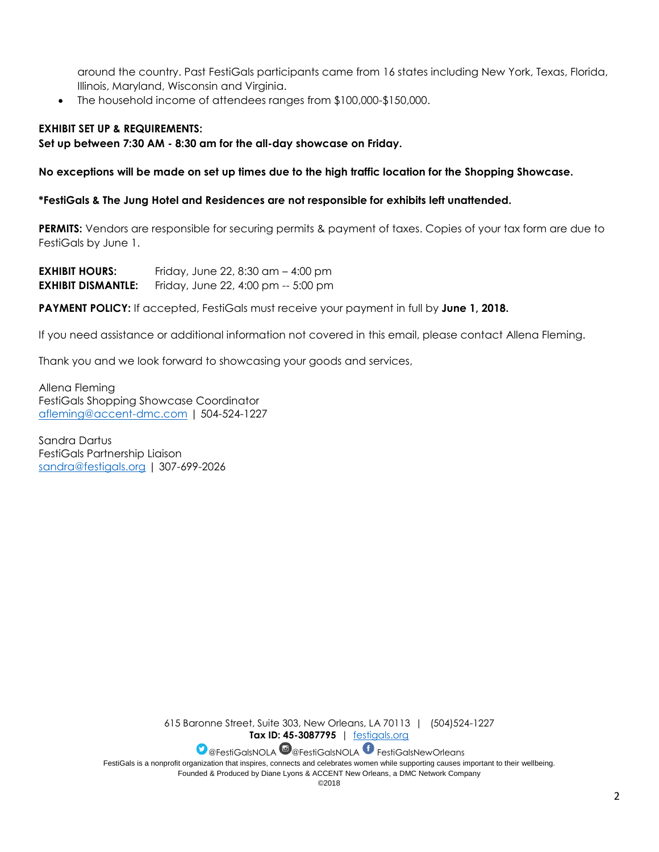around the country. Past FestiGals participants came from 16 states including New York, Texas, Florida, Illinois, Maryland, Wisconsin and Virginia.

The household income of attendees ranges from \$100,000-\$150,000.

# **EXHIBIT SET UP & REQUIREMENTS:**

### **Set up between 7:30 AM - 8:30 am for the all-day showcase on Friday.**

**No exceptions will be made on set up times due to the high traffic location for the Shopping Showcase.**

**\*FestiGals & The Jung Hotel and Residences are not responsible for exhibits left unattended.**

**PERMITS:** Vendors are responsible for securing permits & payment of taxes. Copies of your tax form are due to FestiGals by June 1.

**EXHIBIT HOURS:** Friday, June 22, 8:30 am – 4:00 pm **EXHIBIT DISMANTLE:** Friday, June 22, 4:00 pm -- 5:00 pm

**PAYMENT POLICY:** If accepted, FestiGals must receive your payment in full by **June 1, 2018.**

If you need assistance or additional information not covered in this email, please contact Allena Fleming.

Thank you and we look forward to showcasing your goods and services,

Allena Fleming FestiGals Shopping Showcase Coordinator [afleming@accent-dmc.com](mailto:afleming@accent-dmc.com) | 504-524-1227

Sandra Dartus FestiGals Partnership Liaison [sandra@festigals.org](mailto:sandra@festigals.org) | 307-699-2026

> 615 Baronne Street, Suite 303, New Orleans, LA 70113 | (504)524-1227 **Tax ID: 45-3087795** | [festigals.org](http://www.festigals.org/)

> > **D** @FestiGalsNOLA @ @FestiGalsNOLA FestiGalsNewOrleans

FestiGals is a nonprofit organization that inspires, connects and celebrates women while supporting causes important to their wellbeing. Founded & Produced by Diane Lyons & ACCENT New Orleans, a DMC Network Company